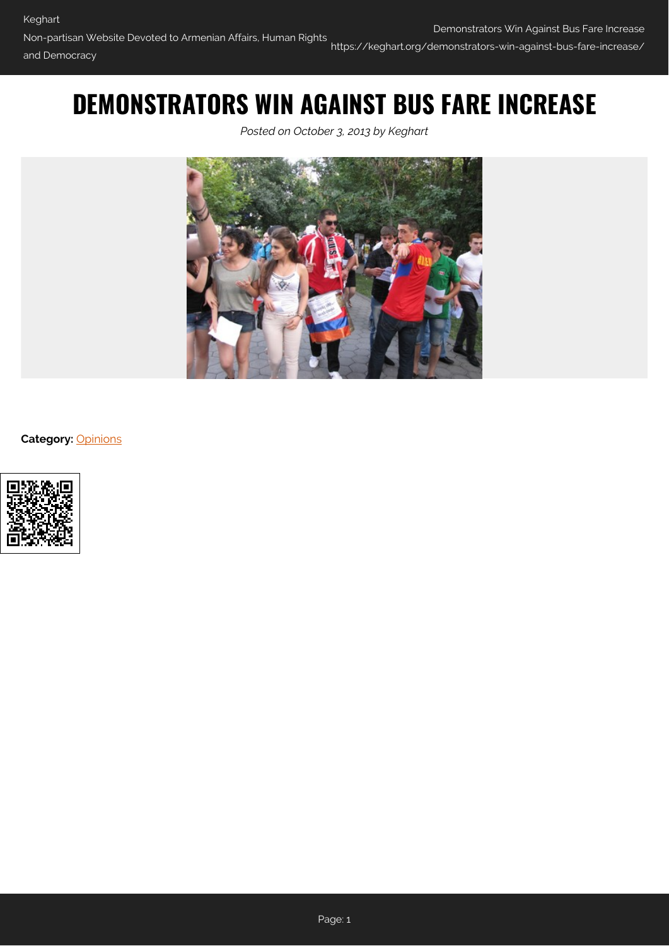# **DEMONSTRATORS WIN AGAINST BUS FARE INCREASE**

*Posted on October 3, 2013 by Keghart*



**Category:** [Opinions](https://keghart.org/category/opinions/)

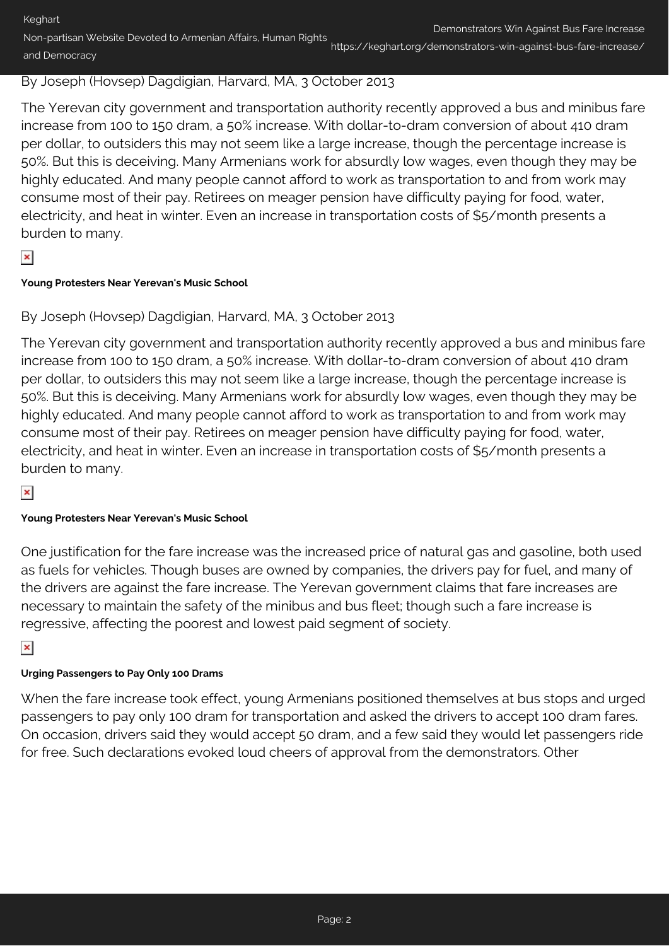Keghart Non-partisan Website Devoted to Armenian Affairs, Human Rights and Democracy Demonstrators Win Against Bus Fare Increase https://keghart.org/demonstrators-win-against-bus-fare-increase/

## By Joseph (Hovsep) Dagdigian, Harvard, MA, 3 October 2013

The Yerevan city government and transportation authority recently approved a bus and minibus fare increase from 100 to 150 dram, a 50% increase. With dollar-to-dram conversion of about 410 dram per dollar, to outsiders this may not seem like a large increase, though the percentage increase is 50%. But this is deceiving. Many Armenians work for absurdly low wages, even though they may be highly educated. And many people cannot afford to work as transportation to and from work may consume most of their pay. Retirees on meager pension have difficulty paying for food, water, electricity, and heat in winter. Even an increase in transportation costs of \$5/month presents a burden to many.

## $\pmb{\times}$

#### **Young Protesters Near Yerevan's Music School**

## By Joseph (Hovsep) Dagdigian, Harvard, MA, 3 October 2013

The Yerevan city government and transportation authority recently approved a bus and minibus fare increase from 100 to 150 dram, a 50% increase. With dollar-to-dram conversion of about 410 dram per dollar, to outsiders this may not seem like a large increase, though the percentage increase is 50%. But this is deceiving. Many Armenians work for absurdly low wages, even though they may be highly educated. And many people cannot afford to work as transportation to and from work may consume most of their pay. Retirees on meager pension have difficulty paying for food, water, electricity, and heat in winter. Even an increase in transportation costs of \$5/month presents a burden to many.

## $\pmb{\times}$

#### **Young Protesters Near Yerevan's Music School**

One justification for the fare increase was the increased price of natural gas and gasoline, both used as fuels for vehicles. Though buses are owned by companies, the drivers pay for fuel, and many of the drivers are against the fare increase. The Yerevan government claims that fare increases are necessary to maintain the safety of the minibus and bus fleet; though such a fare increase is regressive, affecting the poorest and lowest paid segment of society.

## $\pmb{\times}$

#### **Urging Passengers to Pay Only 100 Drams**

When the fare increase took effect, young Armenians positioned themselves at bus stops and urged passengers to pay only 100 dram for transportation and asked the drivers to accept 100 dram fares. On occasion, drivers said they would accept 50 dram, and a few said they would let passengers ride for free. Such declarations evoked loud cheers of approval from the demonstrators. Other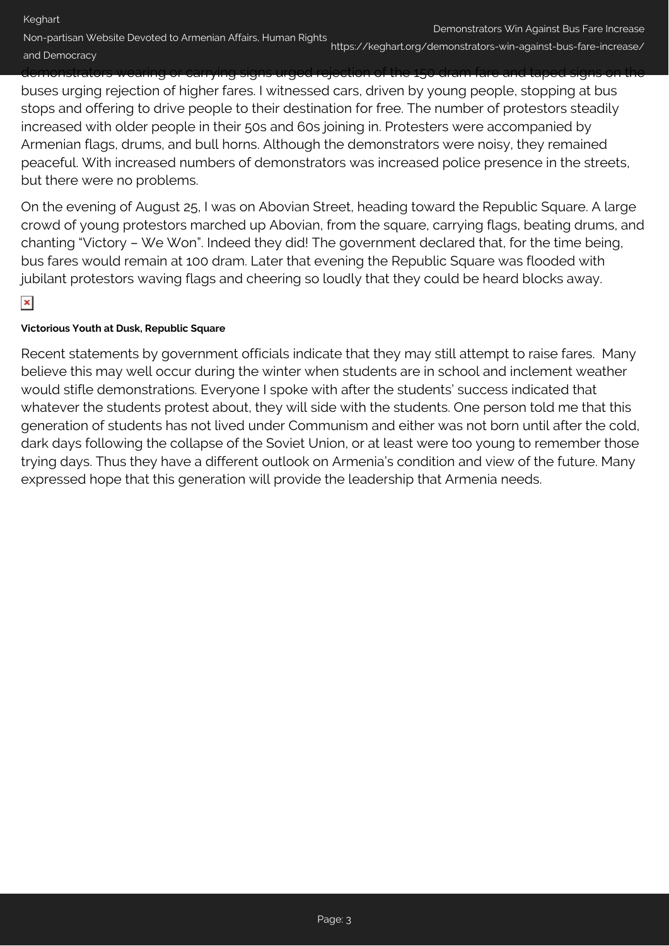Keghart

Non-partisan Website Devoted to Armenian Affairs, Human Rights Demonstrators Win Against Bus Fare Increase and Democracy https://keghart.org/demonstrators-win-against-bus-fare-increase/

demonstrators wearing or carrying signs urged rejection of the 150 dram fare and taped signs on the buses urging rejection of higher fares. I witnessed cars, driven by young people, stopping at bus stops and offering to drive people to their destination for free. The number of protestors steadily increased with older people in their 50s and 60s joining in. Protesters were accompanied by Armenian flags, drums, and bull horns. Although the demonstrators were noisy, they remained peaceful. With increased numbers of demonstrators was increased police presence in the streets, but there were no problems.

On the evening of August 25, I was on Abovian Street, heading toward the Republic Square. A large crowd of young protestors marched up Abovian, from the square, carrying flags, beating drums, and chanting "Victory – We Won". Indeed they did! The government declared that, for the time being, bus fares would remain at 100 dram. Later that evening the Republic Square was flooded with jubilant protestors waving flags and cheering so loudly that they could be heard blocks away.

 $\pmb{\times}$ 

#### **Victorious Youth at Dusk, Republic Square**

Recent statements by government officials indicate that they may still attempt to raise fares. Many believe this may well occur during the winter when students are in school and inclement weather would stifle demonstrations. Everyone I spoke with after the students' success indicated that whatever the students protest about, they will side with the students. One person told me that this generation of students has not lived under Communism and either was not born until after the cold, dark days following the collapse of the Soviet Union, or at least were too young to remember those trying days. Thus they have a different outlook on Armenia's condition and view of the future. Many expressed hope that this generation will provide the leadership that Armenia needs.